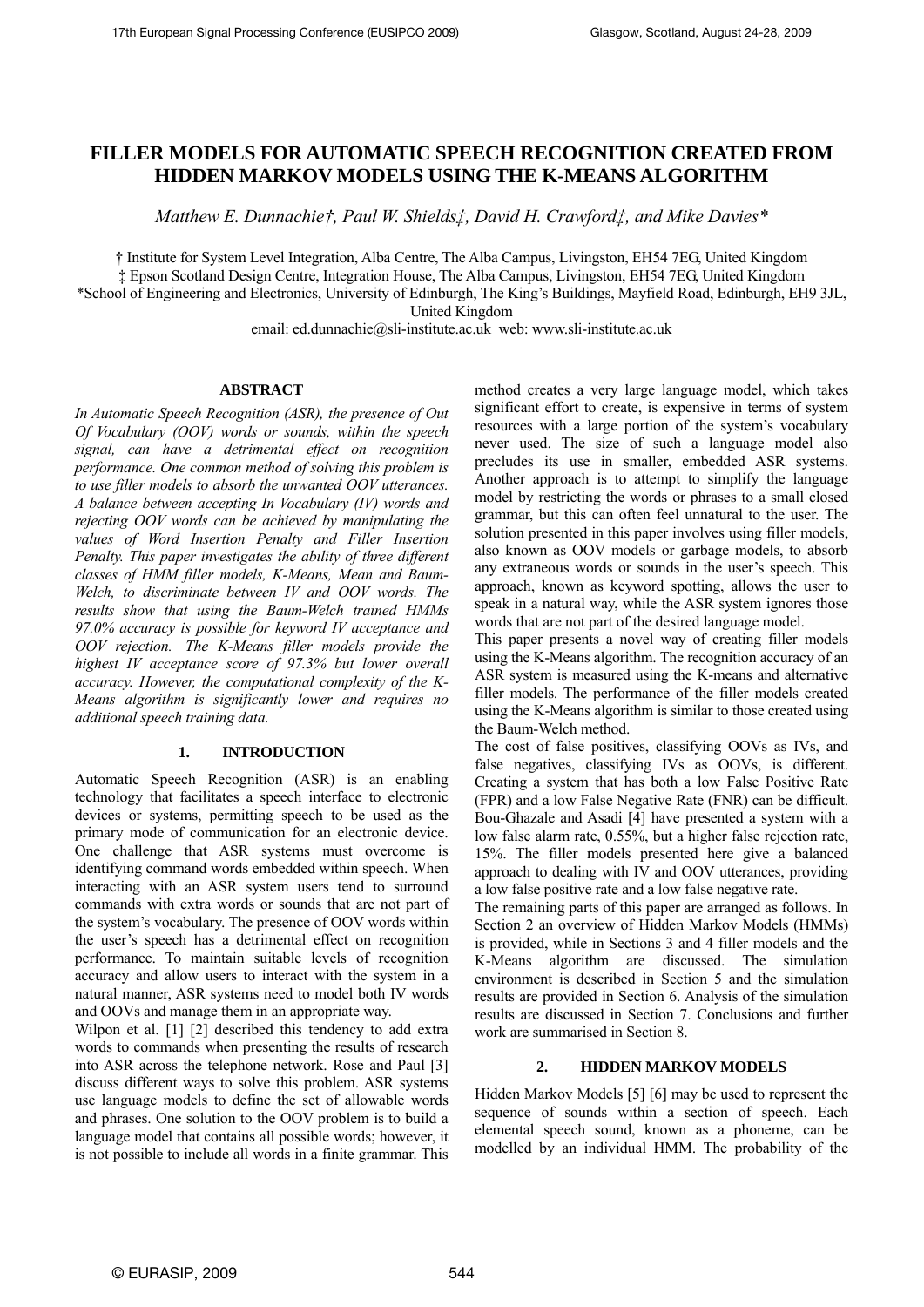# **FILLER MODELS FOR AUTOMATIC SPEECH RECOGNITION CREATED FROM HIDDEN MARKOV MODELS USING THE K-MEANS ALGORITHM**

*Matthew E. Dunnachie†, Paul W. Shields‡, David H. Crawford‡, and Mike Davies\** 

† Institute for System Level Integration, Alba Centre, The Alba Campus, Livingston, EH54 7EG, United Kingdom ‡ Epson Scotland Design Centre, Integration House, The Alba Campus, Livingston, EH54 7EG, United Kingdom

\*School of Engineering and Electronics, University of Edinburgh, The King's Buildings, Mayfield Road, Edinburgh, EH9 3JL,

United Kingdom

email: ed.dunnachie@sli-institute.ac.uk web: www.sli-institute.ac.uk

## **ABSTRACT**

*In Automatic Speech Recognition (ASR), the presence of Out Of Vocabulary (OOV) words or sounds, within the speech signal, can have a detrimental effect on recognition performance. One common method of solving this problem is to use filler models to absorb the unwanted OOV utterances. A balance between accepting In Vocabulary (IV) words and rejecting OOV words can be achieved by manipulating the values of Word Insertion Penalty and Filler Insertion Penalty. This paper investigates the ability of three different classes of HMM filler models, K-Means, Mean and Baum-Welch, to discriminate between IV and OOV words. The results show that using the Baum-Welch trained HMMs 97.0% accuracy is possible for keyword IV acceptance and OOV rejection. The K-Means filler models provide the highest IV acceptance score of 97.3% but lower overall accuracy. However, the computational complexity of the K-Means algorithm is significantly lower and requires no additional speech training data.* 

### **1. INTRODUCTION**

Automatic Speech Recognition (ASR) is an enabling technology that facilitates a speech interface to electronic devices or systems, permitting speech to be used as the primary mode of communication for an electronic device. One challenge that ASR systems must overcome is identifying command words embedded within speech. When interacting with an ASR system users tend to surround commands with extra words or sounds that are not part of the system's vocabulary. The presence of OOV words within the user's speech has a detrimental effect on recognition performance. To maintain suitable levels of recognition accuracy and allow users to interact with the system in a natural manner, ASR systems need to model both IV words and OOVs and manage them in an appropriate way.

Wilpon et al. [1] [2] described this tendency to add extra words to commands when presenting the results of research into ASR across the telephone network. Rose and Paul [3] discuss different ways to solve this problem. ASR systems use language models to define the set of allowable words and phrases. One solution to the OOV problem is to build a language model that contains all possible words; however, it is not possible to include all words in a finite grammar. This

method creates a very large language model, which takes significant effort to create, is expensive in terms of system resources with a large portion of the system's vocabulary never used. The size of such a language model also precludes its use in smaller, embedded ASR systems. Another approach is to attempt to simplify the language model by restricting the words or phrases to a small closed grammar, but this can often feel unnatural to the user. The solution presented in this paper involves using filler models, also known as OOV models or garbage models, to absorb any extraneous words or sounds in the user's speech. This approach, known as keyword spotting, allows the user to speak in a natural way, while the ASR system ignores those words that are not part of the desired language model.

This paper presents a novel way of creating filler models using the K-Means algorithm. The recognition accuracy of an ASR system is measured using the K-means and alternative filler models. The performance of the filler models created using the K-Means algorithm is similar to those created using the Baum-Welch method.

The cost of false positives, classifying OOVs as IVs, and false negatives, classifying IVs as OOVs, is different. Creating a system that has both a low False Positive Rate (FPR) and a low False Negative Rate (FNR) can be difficult. Bou-Ghazale and Asadi [4] have presented a system with a low false alarm rate, 0.55%, but a higher false rejection rate, 15%. The filler models presented here give a balanced approach to dealing with IV and OOV utterances, providing a low false positive rate and a low false negative rate.

The remaining parts of this paper are arranged as follows. In Section 2 an overview of Hidden Markov Models (HMMs) is provided, while in Sections 3 and 4 filler models and the K-Means algorithm are discussed. The simulation environment is described in Section 5 and the simulation results are provided in Section 6. Analysis of the simulation results are discussed in Section 7. Conclusions and further work are summarised in Section 8.

# **2. HIDDEN MARKOV MODELS**

Hidden Markov Models [5] [6] may be used to represent the sequence of sounds within a section of speech. Each elemental speech sound, known as a phoneme, can be modelled by an individual HMM. The probability of the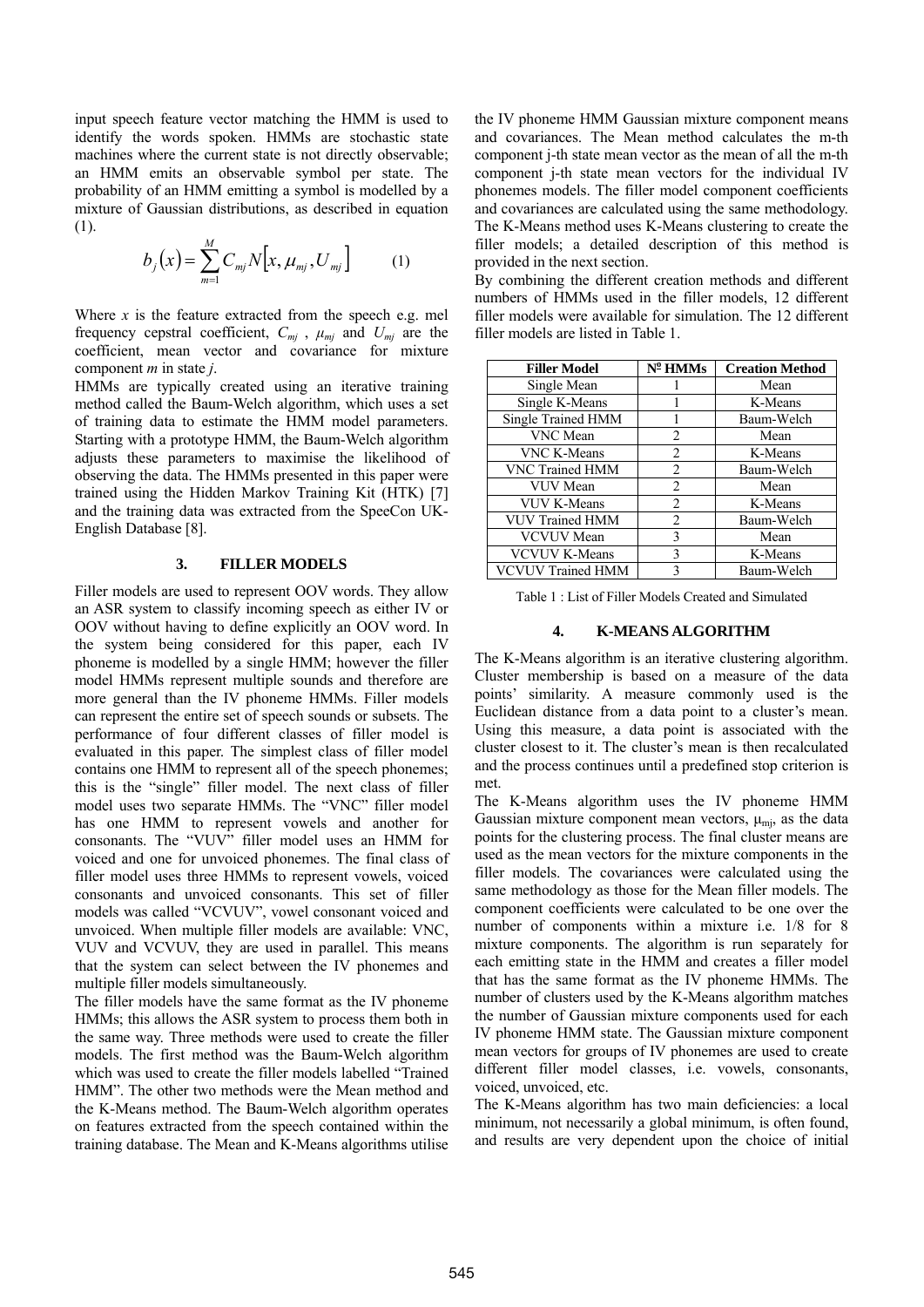input speech feature vector matching the HMM is used to identify the words spoken. HMMs are stochastic state machines where the current state is not directly observable; an HMM emits an observable symbol per state. The probability of an HMM emitting a symbol is modelled by a mixture of Gaussian distributions, as described in equation (1).

$$
b_j(x) = \sum_{m=1}^{M} C_{mj} N[x, \mu_{mj}, U_{mj}] \qquad (1)
$$

Where  $x$  is the feature extracted from the speech e.g. mel frequency cepstral coefficient,  $C_{mj}$ ,  $\mu_{mi}$  and  $U_{mj}$  are the coefficient, mean vector and covariance for mixture component *m* in state *j*.

HMMs are typically created using an iterative training method called the Baum-Welch algorithm, which uses a set of training data to estimate the HMM model parameters. Starting with a prototype HMM, the Baum-Welch algorithm adjusts these parameters to maximise the likelihood of observing the data. The HMMs presented in this paper were trained using the Hidden Markov Training Kit (HTK) [7] and the training data was extracted from the SpeeCon UK-English Database [8].

#### **3. FILLER MODELS**

Filler models are used to represent OOV words. They allow an ASR system to classify incoming speech as either IV or OOV without having to define explicitly an OOV word. In the system being considered for this paper, each IV phoneme is modelled by a single HMM; however the filler model HMMs represent multiple sounds and therefore are more general than the IV phoneme HMMs. Filler models can represent the entire set of speech sounds or subsets. The performance of four different classes of filler model is evaluated in this paper. The simplest class of filler model contains one HMM to represent all of the speech phonemes; this is the "single" filler model. The next class of filler model uses two separate HMMs. The "VNC" filler model has one HMM to represent vowels and another for consonants. The "VUV" filler model uses an HMM for voiced and one for unvoiced phonemes. The final class of filler model uses three HMMs to represent vowels, voiced consonants and unvoiced consonants. This set of filler models was called "VCVUV", vowel consonant voiced and unvoiced. When multiple filler models are available: VNC, VUV and VCVUV, they are used in parallel. This means that the system can select between the IV phonemes and multiple filler models simultaneously.

The filler models have the same format as the IV phoneme HMMs; this allows the ASR system to process them both in the same way. Three methods were used to create the filler models. The first method was the Baum-Welch algorithm which was used to create the filler models labelled "Trained HMM". The other two methods were the Mean method and the K-Means method. The Baum-Welch algorithm operates on features extracted from the speech contained within the training database. The Mean and K-Means algorithms utilise the IV phoneme HMM Gaussian mixture component means and covariances. The Mean method calculates the m-th component j-th state mean vector as the mean of all the m-th component j-th state mean vectors for the individual IV phonemes models. The filler model component coefficients and covariances are calculated using the same methodology. The K-Means method uses K-Means clustering to create the filler models; a detailed description of this method is provided in the next section.

By combining the different creation methods and different numbers of HMMs used in the filler models, 12 different filler models were available for simulation. The 12 different filler models are listed in Table 1.

| <b>Filler Model</b>       | $N^{\circ}$ HMMs | <b>Creation Method</b> |
|---------------------------|------------------|------------------------|
| Single Mean               |                  | Mean                   |
| Single K-Means            |                  | K-Means                |
| <b>Single Trained HMM</b> |                  | Baum-Welch             |
| <b>VNC</b> Mean           | 2                | Mean                   |
| <b>VNC K-Means</b>        | 2                | K-Means                |
| VNC Trained HMM           | 2                | Baum-Welch             |
| <b>VUV</b> Mean           | $\overline{2}$   | Mean                   |
| <b>VUV K-Means</b>        | 2                | K-Means                |
| <b>VUV Trained HMM</b>    | $\mathfrak{D}$   | Baum-Welch             |
| <b>VCVUV</b> Mean         | 3                | Mean                   |
| <b>VCVUV K-Means</b>      | 3                | K-Means                |
| <b>VCVUV Trained HMM</b>  | 3                | Baum-Welch             |

Table 1 : List of Filler Models Created and Simulated

#### **4. K-MEANS ALGORITHM**

The K-Means algorithm is an iterative clustering algorithm. Cluster membership is based on a measure of the data points' similarity. A measure commonly used is the Euclidean distance from a data point to a cluster's mean. Using this measure, a data point is associated with the cluster closest to it. The cluster's mean is then recalculated and the process continues until a predefined stop criterion is met.

The K-Means algorithm uses the IV phoneme HMM Gaussian mixture component mean vectors,  $\mu_{mi}$ , as the data points for the clustering process. The final cluster means are used as the mean vectors for the mixture components in the filler models. The covariances were calculated using the same methodology as those for the Mean filler models. The component coefficients were calculated to be one over the number of components within a mixture i.e. 1/8 for 8 mixture components. The algorithm is run separately for each emitting state in the HMM and creates a filler model that has the same format as the IV phoneme HMMs. The number of clusters used by the K-Means algorithm matches the number of Gaussian mixture components used for each IV phoneme HMM state. The Gaussian mixture component mean vectors for groups of IV phonemes are used to create different filler model classes, i.e. vowels, consonants, voiced, unvoiced, etc.

The K-Means algorithm has two main deficiencies: a local minimum, not necessarily a global minimum, is often found, and results are very dependent upon the choice of initial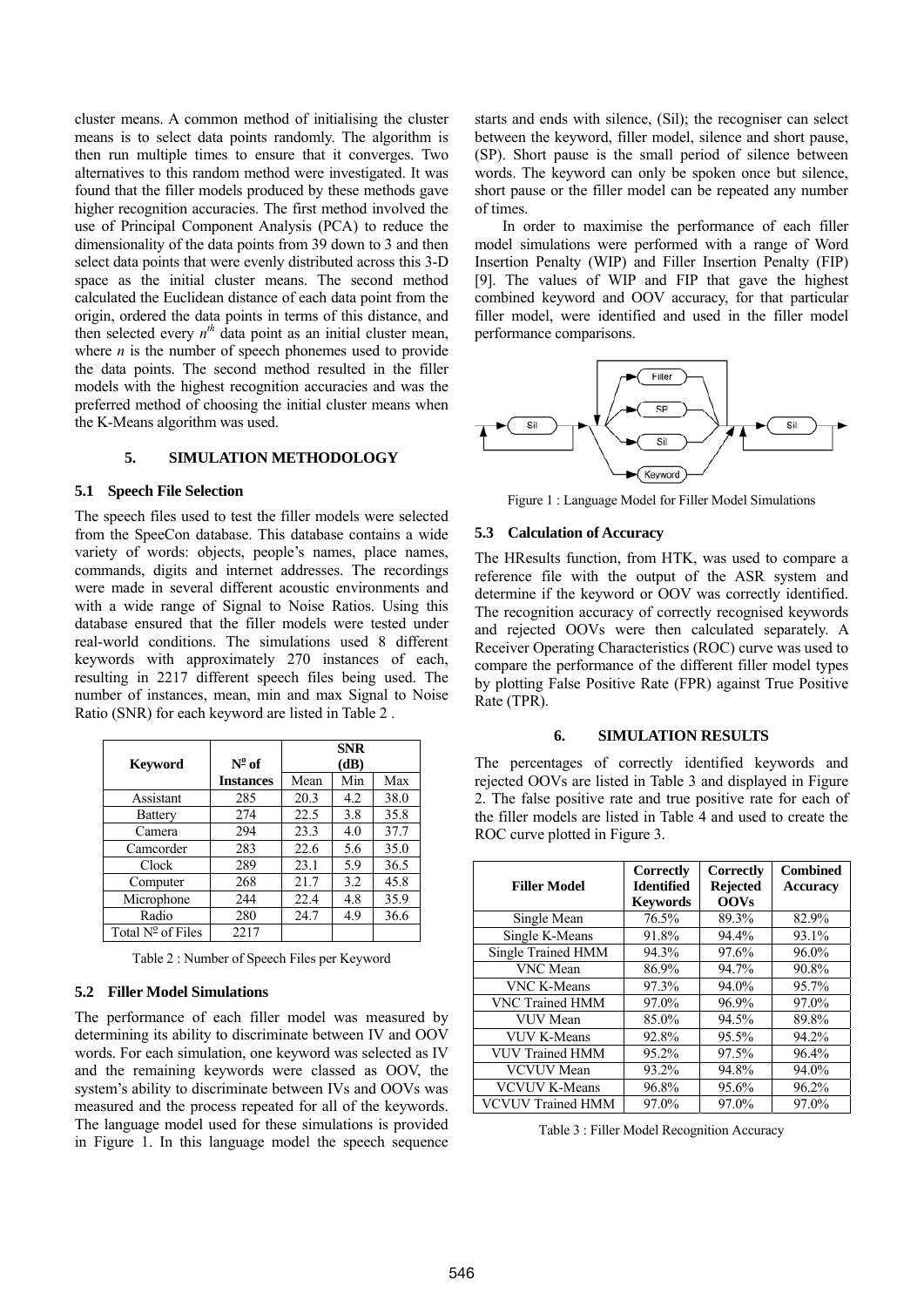cluster means. A common method of initialising the cluster means is to select data points randomly. The algorithm is then run multiple times to ensure that it converges. Two alternatives to this random method were investigated. It was found that the filler models produced by these methods gave higher recognition accuracies. The first method involved the use of Principal Component Analysis (PCA) to reduce the dimensionality of the data points from 39 down to 3 and then select data points that were evenly distributed across this 3-D space as the initial cluster means. The second method calculated the Euclidean distance of each data point from the origin, ordered the data points in terms of this distance, and then selected every  $n<sup>th</sup>$  data point as an initial cluster mean, where  $n$  is the number of speech phonemes used to provide the data points. The second method resulted in the filler models with the highest recognition accuracies and was the preferred method of choosing the initial cluster means when the K-Means algorithm was used.

## **5. SIMULATION METHODOLOGY**

#### **5.1 Speech File Selection**

The speech files used to test the filler models were selected from the SpeeCon database. This database contains a wide variety of words: objects, people's names, place names, commands, digits and internet addresses. The recordings were made in several different acoustic environments and with a wide range of Signal to Noise Ratios. Using this database ensured that the filler models were tested under real-world conditions. The simulations used 8 different keywords with approximately 270 instances of each, resulting in 2217 different speech files being used. The number of instances, mean, min and max Signal to Noise Ratio (SNR) for each keyword are listed in Table 2 .

|                            |                  | <b>SNR</b> |     |      |
|----------------------------|------------------|------------|-----|------|
| <b>Keyword</b>             | $N^{\circ}$ of   | (dB)       |     |      |
|                            | <b>Instances</b> | Mean       | Min | Max  |
| Assistant                  | 285              | 20.3       | 4.2 | 38.0 |
| Battery                    | 274              | 22.5       | 3.8 | 35.8 |
| Camera                     | 294              | 23.3       | 4.0 | 37.7 |
| Camcorder                  | 283              | 22.6       | 5.6 | 35.0 |
| Clock                      | 289              | 23.1       | 5.9 | 36.5 |
| Computer                   | 268              | 21.7       | 3.2 | 45.8 |
| Microphone                 | 244              | 22.4       | 4.8 | 35.9 |
| Radio                      | 280              | 24.7       | 4.9 | 36.6 |
| Total $N^{\circ}$ of Files | 2217             |            |     |      |

Table 2 : Number of Speech Files per Keyword

#### **5.2 Filler Model Simulations**

The performance of each filler model was measured by determining its ability to discriminate between IV and OOV words. For each simulation, one keyword was selected as IV and the remaining keywords were classed as OOV, the system's ability to discriminate between IVs and OOVs was measured and the process repeated for all of the keywords. The language model used for these simulations is provided in Figure 1. In this language model the speech sequence starts and ends with silence, (Sil); the recogniser can select between the keyword, filler model, silence and short pause, (SP). Short pause is the small period of silence between words. The keyword can only be spoken once but silence, short pause or the filler model can be repeated any number of times.

In order to maximise the performance of each filler model simulations were performed with a range of Word Insertion Penalty (WIP) and Filler Insertion Penalty (FIP) [9]. The values of WIP and FIP that gave the highest combined keyword and OOV accuracy, for that particular filler model, were identified and used in the filler model performance comparisons.



Figure 1 : Language Model for Filler Model Simulations

#### **5.3 Calculation of Accuracy**

The HResults function, from HTK, was used to compare a reference file with the output of the ASR system and determine if the keyword or OOV was correctly identified. The recognition accuracy of correctly recognised keywords and rejected OOVs were then calculated separately. A Receiver Operating Characteristics (ROC) curve was used to compare the performance of the different filler model types by plotting False Positive Rate (FPR) against True Positive Rate (TPR).

#### **6. SIMULATION RESULTS**

The percentages of correctly identified keywords and rejected OOVs are listed in Table 3 and displayed in Figure 2. The false positive rate and true positive rate for each of the filler models are listed in Table 4 and used to create the ROC curve plotted in Figure 3.

|                          | Correctly         | Correctly       | <b>Combined</b> |
|--------------------------|-------------------|-----------------|-----------------|
| <b>Filler Model</b>      | <b>Identified</b> | <b>Rejected</b> | <b>Accuracy</b> |
|                          | <b>Kevwords</b>   | <b>OOVs</b>     |                 |
| Single Mean              | 76.5%             | 89.3%           | 82.9%           |
| Single K-Means           | 91.8%             | 94.4%           | 93.1%           |
| Single Trained HMM       | 94.3%             | 97.6%           | 96.0%           |
| <b>VNC</b> Mean          | 86.9%             | 94.7%           | 90.8%           |
| <b>VNC K-Means</b>       | 97.3%             | 94.0%           | 95.7%           |
| <b>VNC Trained HMM</b>   | 97.0%             | 96.9%           | 97.0%           |
| VUV Mean                 | 85.0%             | 94.5%           | 89.8%           |
| <b>VUV K-Means</b>       | 92.8%             | 95.5%           | 94.2%           |
| <b>VUV Trained HMM</b>   | $95.2\%$          | 97.5%           | 96.4%           |
| <b>VCVUV</b> Mean        | 93.2%             | 94.8%           | 94.0%           |
| <b>VCVUV K-Means</b>     | 96.8%             | 95.6%           | 96.2%           |
| <b>VCVUV Trained HMM</b> | 97.0%             | 97.0%           | 97.0%           |

Table 3 : Filler Model Recognition Accuracy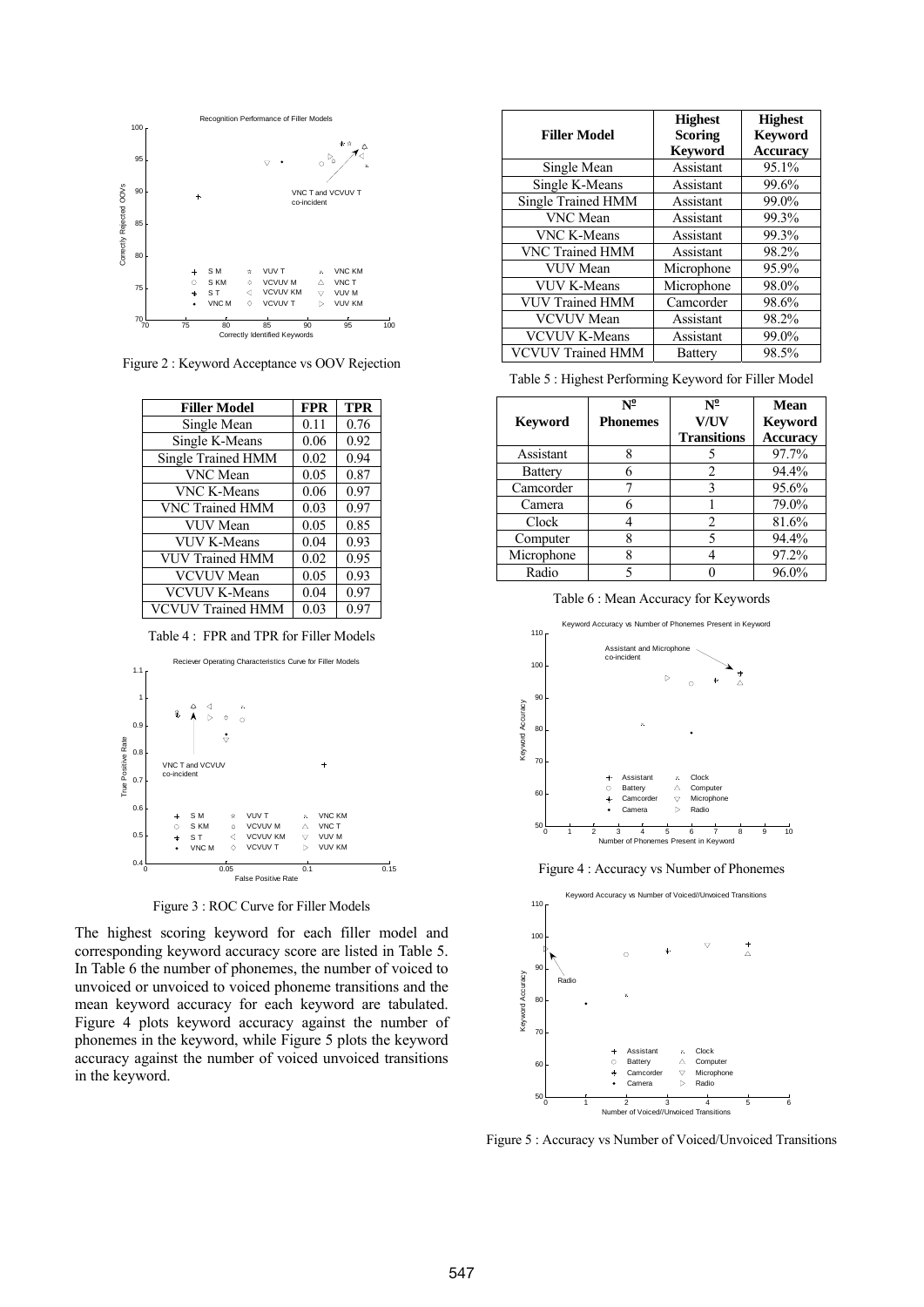

Figure 2 : Keyword Acceptance vs OOV Rejection

| <b>Filler Model</b>      | <b>FPR</b> | <b>TPR</b> |
|--------------------------|------------|------------|
| Single Mean              | 0.11       | 0.76       |
| Single K-Means           | 0.06       | 0.92       |
| Single Trained HMM       | 0.02       | 0.94       |
| <b>VNC</b> Mean          | 0.05       | 0.87       |
| <b>VNC K-Means</b>       | 0.06       | 0.97       |
| VNC Trained HMM          | 0.03       | 0.97       |
| VUV Mean                 | 0.05       | 0.85       |
| <b>VUV K-Means</b>       | 0.04       | 0.93       |
| <b>VUV Trained HMM</b>   | 0.02       | 0.95       |
| <b>VCVUV</b> Mean        | 0.05       | 0.93       |
| <b>VCVUV K-Means</b>     | 0.04       | 0.97       |
| <b>VCVUV Trained HMM</b> | 0.03       | 0.97       |

Table 4 : FPR and TPR for Filler Models



Figure 3 : ROC Curve for Filler Models

The highest scoring keyword for each filler model and corresponding keyword accuracy score are listed in Table 5. In Table 6 the number of phonemes, the number of voiced to unvoiced or unvoiced to voiced phoneme transitions and the mean keyword accuracy for each keyword are tabulated. Figure 4 plots keyword accuracy against the number of phonemes in the keyword, while Figure 5 plots the keyword accuracy against the number of voiced unvoiced transitions in the keyword.

| <b>Filler Model</b>       | <b>Highest</b><br><b>Scoring</b><br><b>Keyword</b> | <b>Highest</b><br><b>Kevword</b><br><b>Accuracy</b> |
|---------------------------|----------------------------------------------------|-----------------------------------------------------|
| Single Mean               | Assistant                                          | 95.1%                                               |
| Single K-Means            | Assistant                                          | 99.6%                                               |
| <b>Single Trained HMM</b> | Assistant                                          | 99.0%                                               |
| VNC Mean                  | Assistant                                          | 99.3%                                               |
| <b>VNC K-Means</b>        | Assistant                                          | 99.3%                                               |
| <b>VNC Trained HMM</b>    | Assistant                                          | 98.2%                                               |
| <b>VUV</b> Mean           | Microphone                                         | 95.9%                                               |
| <b>VUV K-Means</b>        | Microphone                                         | 98.0%                                               |
| <b>VUV Trained HMM</b>    | Camcorder                                          | 98.6%                                               |
| <b>VCVUV</b> Mean         | Assistant                                          | 98.2%                                               |
| <b>VCVUV K-Means</b>      | Assistant                                          | 99.0%                                               |
| <b>VCVUV Trained HMM</b>  | <b>Battery</b>                                     | 98.5%                                               |

Table 5 : Highest Performing Keyword for Filler Model

|                | $\mathbf{N^0}$  | $N^0$              | <b>Mean</b>     |
|----------------|-----------------|--------------------|-----------------|
| <b>Keyword</b> | <b>Phonemes</b> | <b>V/UV</b>        | Keyword         |
|                |                 | <b>Transitions</b> | <b>Accuracy</b> |
| Assistant      |                 |                    | 97.7%           |
| <b>Battery</b> |                 |                    | 94.4%           |
| Camcorder      |                 |                    | 95.6%           |
| Camera         |                 |                    | 79.0%           |
| Clock          |                 | $\mathfrak{D}$     | 81.6%           |
| Computer       |                 |                    | 94.4%           |
| Microphone     | 8               |                    | 97.2%           |
| Radio          |                 |                    | 96.0%           |

Table 6 : Mean Accuracy for Keywords



Figure 4 : Accuracy vs Number of Phonemes



Figure 5 : Accuracy vs Number of Voiced/Unvoiced Transitions